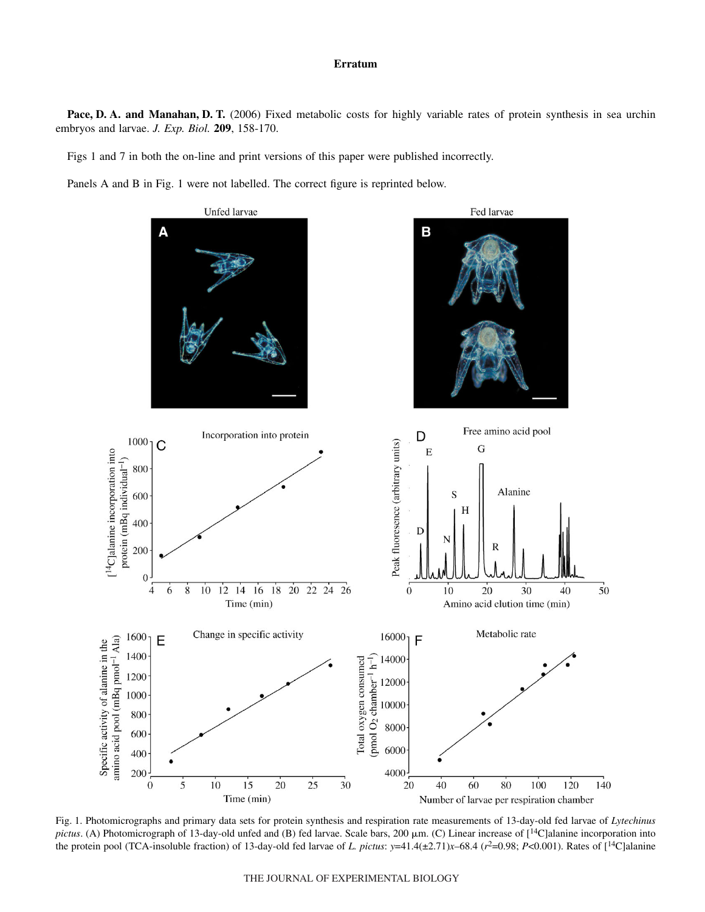### **Erratum**

**Pace, D. A. and Manahan, D. T.** (2006) Fixed metabolic costs for highly variable rates of protein synthesis in sea urchin embryos and larvae. *J. Exp. Biol.* **209**, 158-170.

Figs 1 and 7 in both the on-line and print versions of this paper were published incorrectly.

Panels A and B in Fig. 1 were not labelled. The correct figure is reprinted below.



Fig. 1. Photomicrographs and primary data sets for protein synthesis and respiration rate measurements of 13-day-old fed larvae of *Lytechinus* pictus. (A) Photomicrograph of 13-day-old unfed and (B) fed larvae. Scale bars, 200  $\mu$ m. (C) Linear increase of [<sup>14</sup>C]alanine incorporation into the protein pool (TCA-insoluble fraction) of 13-day-old fed larvae of *L. pictus*: *y*=41.4(±2.71)*x*–68.4 (*r*2=0.98; *P*<0.001). Rates of [14C]alanine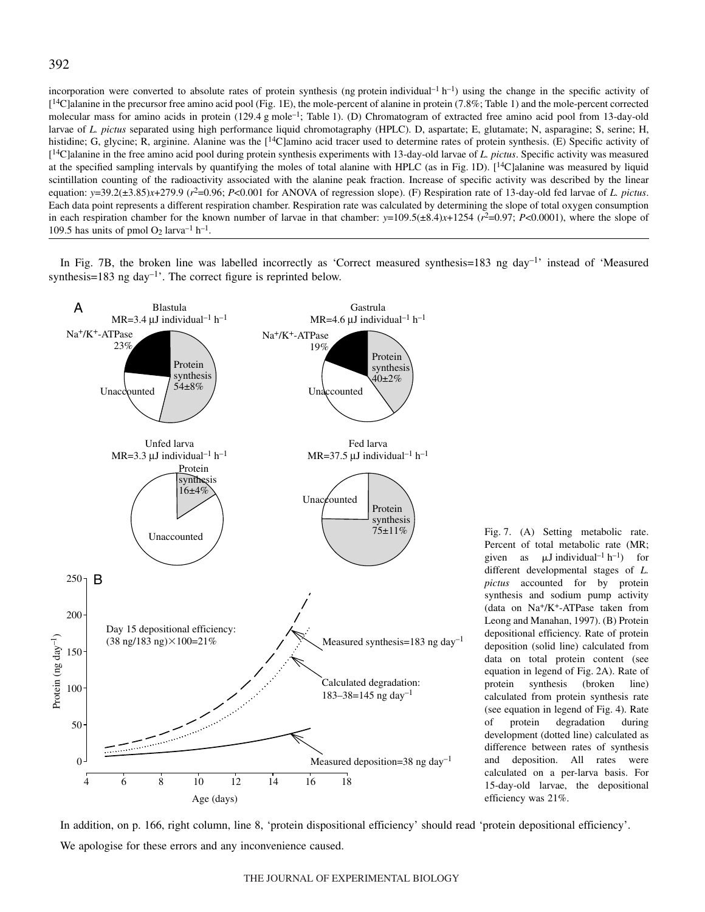incorporation were converted to absolute rates of protein synthesis (ng protein individual<sup>-1</sup> h<sup>-1</sup>) using the change in the specific activity of  $[{}^{14}C]$ alanine in the precursor free amino acid pool (Fig. 1E), the mole-percent of alanine in protein (7.8%; Table 1) and the mole-percent corrected molecular mass for amino acids in protein (129.4 g mole<sup>-1</sup>; Table 1). (D) Chromatogram of extracted free amino acid pool from 13-day-old larvae of *L. pictus* separated using high performance liquid chromotagraphy (HPLC). D, aspartate; E, glutamate; N, asparagine; S, serine; H, histidine; G, glycine; R, arginine. Alanine was the  $\lceil {^{14}C} \rceil$ amino acid tracer used to determine rates of protein synthesis. (E) Specific activity of [14C]alanine in the free amino acid pool during protein synthesis experiments with 13-day-old larvae of *L. pictus*. Specific activity was measured at the specified sampling intervals by quantifying the moles of total alanine with HPLC (as in Fig. 1D).  $[{}^{14}$ C alanine was measured by liquid scintillation counting of the radioactivity associated with the alanine peak fraction. Increase of specific activity was described by the linear equation:  $y=39.2(\pm 3.85)x+279.9$  ( $r^2=0.96$ ;  $P<0.001$  for ANOVA of regression slope). (F) Respiration rate of 13-day-old fed larvae of *L. pictus*. Each data point represents a different respiration chamber. Respiration rate was calculated by determining the slope of total oxygen consumption in each respiration chamber for the known number of larvae in that chamber:  $y=109.5(\pm 8.4)x+1254$  ( $r^2=0.97$ ;  $P<0.0001$ ), where the slope of 109.5 has units of pmol  $O_2$  larva<sup>-1</sup> h<sup>-1</sup>.

In Fig. 7B, the broken line was labelled incorrectly as 'Correct measured synthesis=183 ng day<sup>-1</sup>' instead of 'Measured synthesis=183 ng day<sup>-1</sup>. The correct figure is reprinted below.



Fig. 7. (A) Setting metabolic rate. Percent of total metabolic rate (MR; given as  $\mu$ J individual<sup>-1</sup> h<sup>-1</sup>) for different developmental stages of *L. pictus* accounted for by protein synthesis and sodium pump activity (data on Na+/K+-ATPase taken from Leong and Manahan, 1997). (B) Protein depositional efficiency. Rate of protein deposition (solid line) calculated from data on total protein content (see equation in legend of Fig. 2A). Rate of protein synthesis (broken line) calculated from protein synthesis rate (see equation in legend of Fig. 4). Rate of protein degradation during development (dotted line) calculated as difference between rates of synthesis and deposition. All rates were calculated on a per-larva basis. For 15-day-old larvae, the depositional efficiency was 21%.

In addition, on p. 166, right column, line 8, 'protein dispositional efficiency' should read 'protein depositional efficiency'. We apologise for these errors and any inconvenience caused.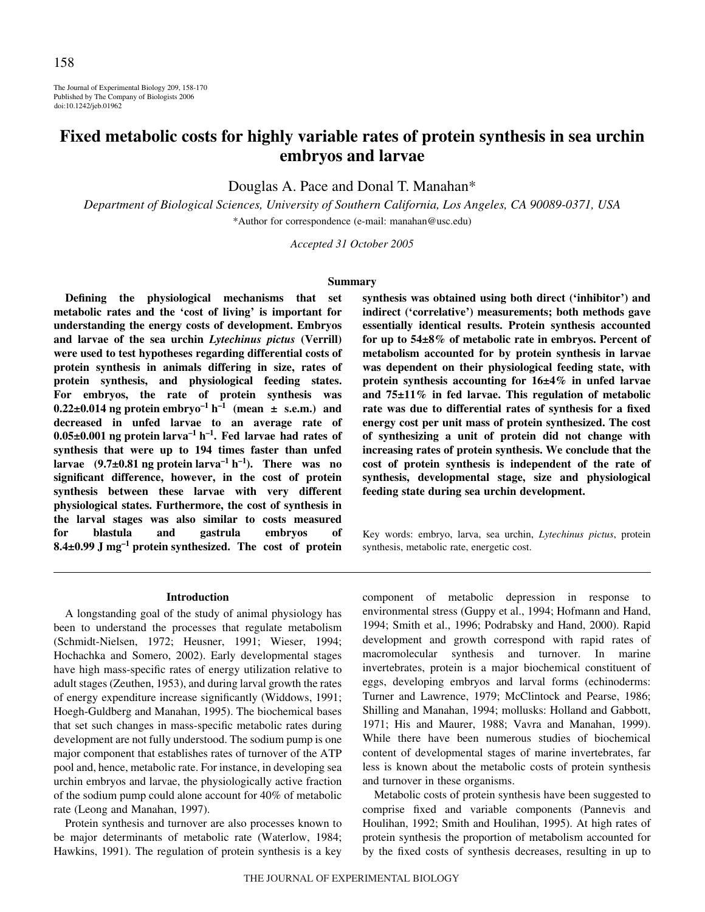The Journal of Experimental Biology 209, 158-170 Published by The Company of Biologists 2006 doi:10.1242/jeb.01962

# **Fixed metabolic costs for highly variable rates of protein synthesis in sea urchin embryos and larvae**

Douglas A. Pace and Donal T. Manahan\*

*Department of Biological Sciences, University of Southern California, Los Angeles, CA 90089-0371, USA* \*Author for correspondence (e-mail: manahan@usc.edu)

*Accepted 31 October 2005*

#### **Summary**

**Defining the physiological mechanisms that set metabolic rates and the 'cost of living' is important for understanding the energy costs of development. Embryos and larvae of the sea urchin** *Lytechinus pictus* **(Verrill) were used to test hypotheses regarding differential costs of protein synthesis in animals differing in size, rates of protein synthesis, and physiological feeding states. For embryos, the rate of protein synthesis was**  $0.22\pm0.014$  ng protein embryo<sup>-1</sup> h<sup>-1</sup> (mean  $\pm$  s.e.m.) and **decreased in unfed larvae to an average rate of**  $0.05\pm0.001$  ng protein larva<sup>-1</sup> h<sup>-1</sup>. Fed larvae had rates of **synthesis that were up to 194 times faster than unfed larvae**  $(9.7\pm0.81 \text{ ng protein larva}^{-1} \text{ h}^{-1})$ . There was no **significant difference, however, in the cost of protein synthesis between these larvae with very different physiological states. Furthermore, the cost of synthesis in the larval stages was also similar to costs measured for blastula and gastrula embryos of 8.4±0.99 J** mg<sup>-1</sup> protein synthesized. The cost of protein

#### **Introduction**

A longstanding goal of the study of animal physiology has been to understand the processes that regulate metabolism (Schmidt-Nielsen, 1972; Heusner, 1991; Wieser, 1994; Hochachka and Somero, 2002). Early developmental stages have high mass-specific rates of energy utilization relative to adult stages (Zeuthen, 1953), and during larval growth the rates of energy expenditure increase significantly (Widdows, 1991; Hoegh-Guldberg and Manahan, 1995). The biochemical bases that set such changes in mass-specific metabolic rates during development are not fully understood. The sodium pump is one major component that establishes rates of turnover of the ATP pool and, hence, metabolic rate. For instance, in developing sea urchin embryos and larvae, the physiologically active fraction of the sodium pump could alone account for 40% of metabolic rate (Leong and Manahan, 1997).

Protein synthesis and turnover are also processes known to be major determinants of metabolic rate (Waterlow, 1984; Hawkins, 1991). The regulation of protein synthesis is a key **synthesis was obtained using both direct ('inhibitor') and indirect ('correlative') measurements; both methods gave essentially identical results. Protein synthesis accounted for up to 54±8% of metabolic rate in embryos. Percent of metabolism accounted for by protein synthesis in larvae was dependent on their physiological feeding state, with protein synthesis accounting for 16±4% in unfed larvae and 75±11% in fed larvae. This regulation of metabolic rate was due to differential rates of synthesis for a fixed energy cost per unit mass of protein synthesized. The cost of synthesizing a unit of protein did not change with increasing rates of protein synthesis. We conclude that the cost of protein synthesis is independent of the rate of synthesis, developmental stage, size and physiological feeding state during sea urchin development.**

Key words: embryo, larva, sea urchin, *Lytechinus pictus*, protein synthesis, metabolic rate, energetic cost.

component of metabolic depression in response to environmental stress (Guppy et al., 1994; Hofmann and Hand, 1994; Smith et al., 1996; Podrabsky and Hand, 2000). Rapid development and growth correspond with rapid rates of macromolecular synthesis and turnover. In marine invertebrates, protein is a major biochemical constituent of eggs, developing embryos and larval forms (echinoderms: Turner and Lawrence, 1979; McClintock and Pearse, 1986; Shilling and Manahan, 1994; mollusks: Holland and Gabbott, 1971; His and Maurer, 1988; Vavra and Manahan, 1999). While there have been numerous studies of biochemical content of developmental stages of marine invertebrates, far less is known about the metabolic costs of protein synthesis and turnover in these organisms.

Metabolic costs of protein synthesis have been suggested to comprise fixed and variable components (Pannevis and Houlihan, 1992; Smith and Houlihan, 1995). At high rates of protein synthesis the proportion of metabolism accounted for by the fixed costs of synthesis decreases, resulting in up to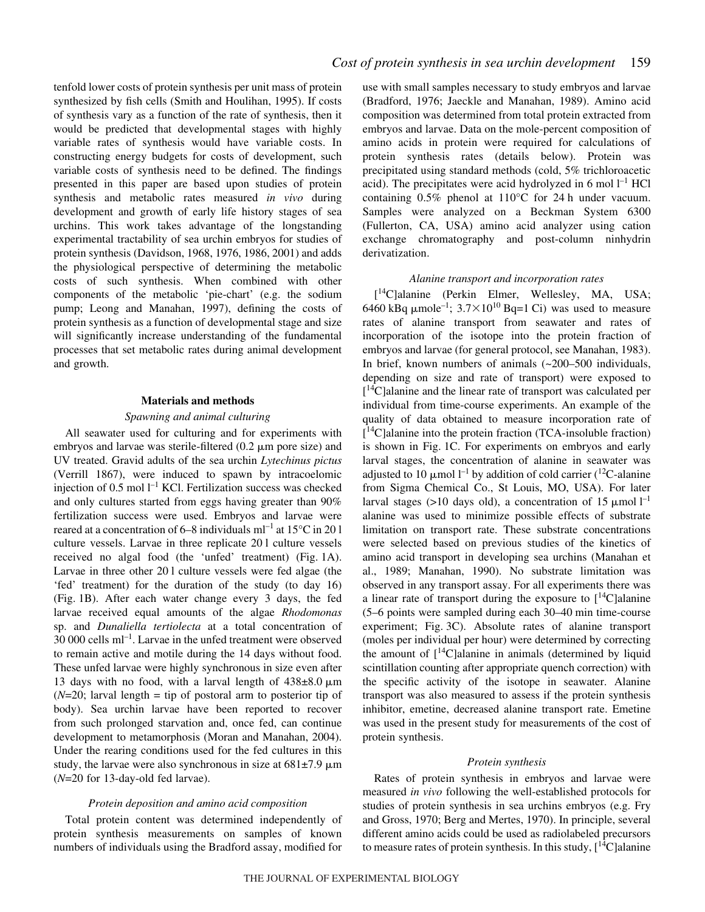tenfold lower costs of protein synthesis per unit mass of protein synthesized by fish cells (Smith and Houlihan, 1995). If costs of synthesis vary as a function of the rate of synthesis, then it would be predicted that developmental stages with highly variable rates of synthesis would have variable costs. In constructing energy budgets for costs of development, such variable costs of synthesis need to be defined. The findings presented in this paper are based upon studies of protein synthesis and metabolic rates measured *in vivo* during development and growth of early life history stages of sea urchins. This work takes advantage of the longstanding experimental tractability of sea urchin embryos for studies of protein synthesis (Davidson, 1968, 1976, 1986, 2001) and adds the physiological perspective of determining the metabolic costs of such synthesis. When combined with other components of the metabolic 'pie-chart' (e.g. the sodium pump; Leong and Manahan, 1997), defining the costs of protein synthesis as a function of developmental stage and size will significantly increase understanding of the fundamental processes that set metabolic rates during animal development and growth.

#### **Materials and methods**

# *Spawning and animal culturing*

All seawater used for culturing and for experiments with embryos and larvae was sterile-filtered  $(0.2 \mu m)$  pore size) and UV treated. Gravid adults of the sea urchin *Lytechinus pictus* (Verrill 1867), were induced to spawn by intracoelomic injection of 0.5 mol  $l^{-1}$  KCl. Fertilization success was checked and only cultures started from eggs having greater than 90% fertilization success were used. Embryos and larvae were reared at a concentration of 6–8 individuals  $ml^{-1}$  at 15°C in 20 l culture vessels. Larvae in three replicate 201 culture vessels received no algal food (the 'unfed' treatment) (Fig. 1A). Larvae in three other 20 l culture vessels were fed algae (the 'fed' treatment) for the duration of the study (to day 16) (Fig. 1B). After each water change every 3 days, the fed larvae received equal amounts of the algae *Rhodomonas* sp. and *Dunaliella tertiolecta* at a total concentration of  $30~000$  cells ml<sup>-1</sup>. Larvae in the unfed treatment were observed to remain active and motile during the 14 days without food. These unfed larvae were highly synchronous in size even after 13 days with no food, with a larval length of  $438\pm8.0\ \mu m$  $(N=20;$  larval length = tip of postoral arm to posterior tip of body). Sea urchin larvae have been reported to recover from such prolonged starvation and, once fed, can continue development to metamorphosis (Moran and Manahan, 2004). Under the rearing conditions used for the fed cultures in this study, the larvae were also synchronous in size at  $681\pm7.9~\mu m$ (*N*=20 for 13-day-old fed larvae).

# *Protein deposition and amino acid composition*

Total protein content was determined independently of protein synthesis measurements on samples of known numbers of individuals using the Bradford assay, modified for use with small samples necessary to study embryos and larvae (Bradford, 1976; Jaeckle and Manahan, 1989). Amino acid composition was determined from total protein extracted from embryos and larvae. Data on the mole-percent composition of amino acids in protein were required for calculations of protein synthesis rates (details below). Protein was precipitated using standard methods (cold, 5% trichloroacetic acid). The precipitates were acid hydrolyzed in 6 mol  $l<sup>-1</sup>$  HCl containing  $0.5\%$  phenol at 110°C for 24 h under vacuum. Samples were analyzed on a Beckman System 6300 (Fullerton, CA, USA) amino acid analyzer using cation exchange chromatography and post-column ninhydrin derivatization.

#### *Alanine transport and incorporation rates*

[ 14C]alanine (Perkin Elmer, Wellesley, MA, USA; 6460 kBq  $\mu$ mole<sup>-1</sup>;  $3.7 \times 10^{10}$  Bq=1 Ci) was used to measure rates of alanine transport from seawater and rates of incorporation of the isotope into the protein fraction of embryos and larvae (for general protocol, see Manahan, 1983). In brief, known numbers of animals (~200–500 individuals, depending on size and rate of transport) were exposed to [ 14C]alanine and the linear rate of transport was calculated per individual from time-course experiments. An example of the quality of data obtained to measure incorporation rate of [ 14C]alanine into the protein fraction (TCA-insoluble fraction) is shown in Fig. 1C. For experiments on embryos and early larval stages, the concentration of alanine in seawater was adjusted to 10  $\mu$ mol l<sup>-1</sup> by addition of cold carrier (<sup>12</sup>C-alanine from Sigma Chemical Co., St Louis, MO, USA). For later larval stages (>10 days old), a concentration of 15  $\mu$ mol l<sup>-1</sup> alanine was used to minimize possible effects of substrate limitation on transport rate. These substrate concentrations were selected based on previous studies of the kinetics of amino acid transport in developing sea urchins (Manahan et al., 1989; Manahan, 1990). No substrate limitation was observed in any transport assay. For all experiments there was a linear rate of transport during the exposure to  $[14C]$ alanine (5–6 points were sampled during each 30–40 min time-course experiment; Fig. 3C). Absolute rates of alanine transport (moles per individual per hour) were determined by correcting the amount of  $\lceil {^{14}C} \rceil$  alanine in animals (determined by liquid scintillation counting after appropriate quench correction) with the specific activity of the isotope in seawater. Alanine transport was also measured to assess if the protein synthesis inhibitor, emetine, decreased alanine transport rate. Emetine was used in the present study for measurements of the cost of protein synthesis.

#### *Protein synthesis*

Rates of protein synthesis in embryos and larvae were measured *in vivo* following the well-established protocols for studies of protein synthesis in sea urchins embryos (e.g. Fry and Gross, 1970; Berg and Mertes, 1970). In principle, several different amino acids could be used as radiolabeled precursors to measure rates of protein synthesis. In this study,  $[14C]$ alanine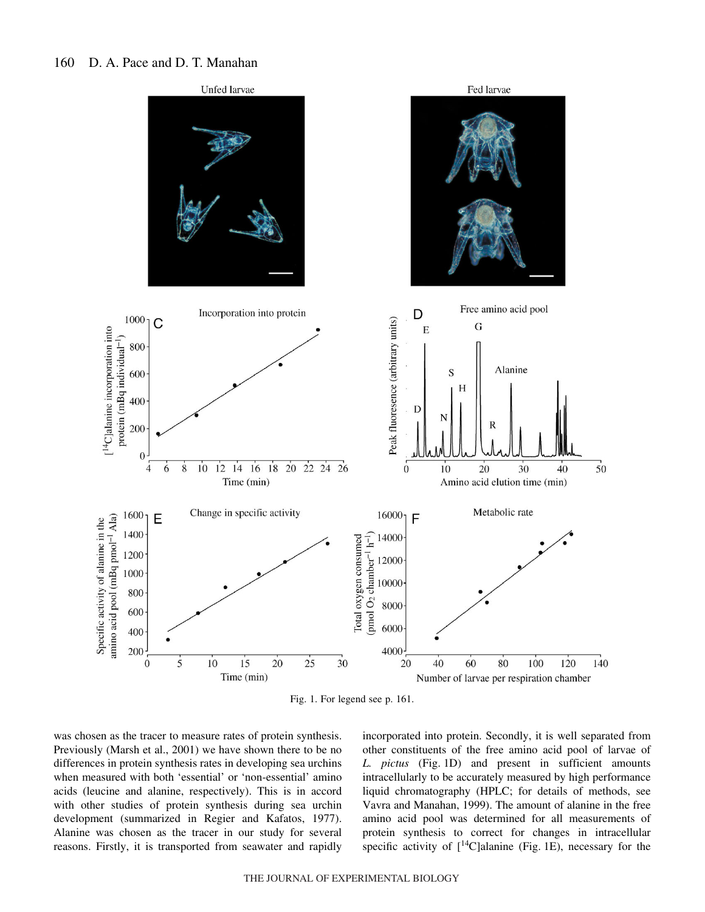

Fig. 1. For legend see p. 161.

was chosen as the tracer to measure rates of protein synthesis. Previously (Marsh et al., 2001) we have shown there to be no differences in protein synthesis rates in developing sea urchins when measured with both 'essential' or 'non-essential' amino acids (leucine and alanine, respectively). This is in accord with other studies of protein synthesis during sea urchin development (summarized in Regier and Kafatos, 1977). Alanine was chosen as the tracer in our study for several reasons. Firstly, it is transported from seawater and rapidly incorporated into protein. Secondly, it is well separated from other constituents of the free amino acid pool of larvae of *L. pictus* (Fig. 1D) and present in sufficient amounts intracellularly to be accurately measured by high performance liquid chromatography (HPLC; for details of methods, see Vavra and Manahan, 1999). The amount of alanine in the free amino acid pool was determined for all measurements of protein synthesis to correct for changes in intracellular specific activity of  $[{}^{14}C]$ alanine (Fig. 1E), necessary for the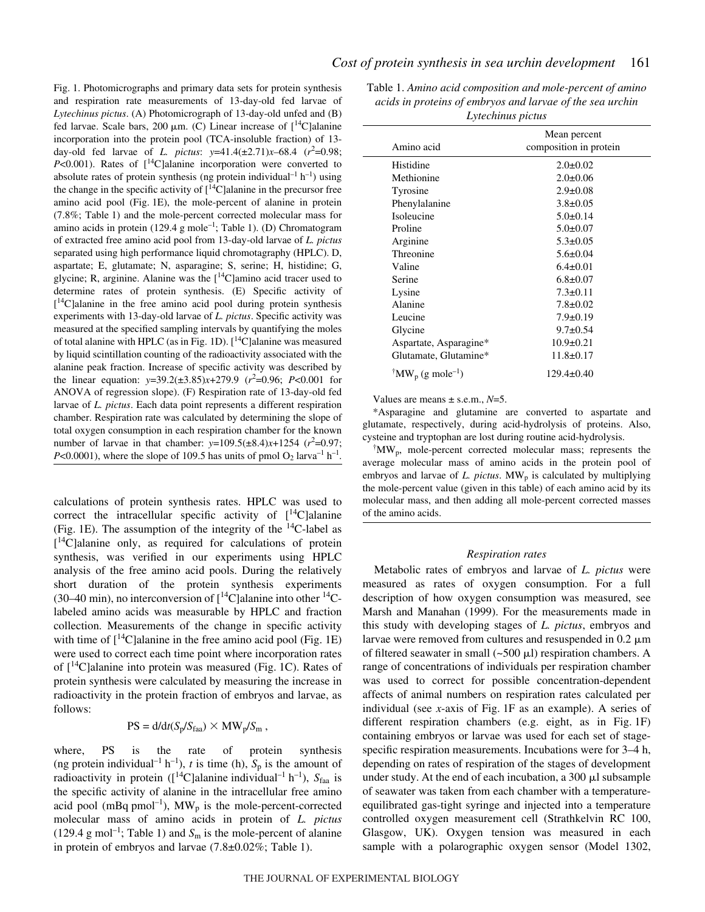Fig. 1. Photomicrographs and primary data sets for protein synthesis and respiration rate measurements of 13-day-old fed larvae of *Lytechinus pictus*. (A) Photomicrograph of 13-day-old unfed and (B) fed larvae. Scale bars, 200  $\mu$ m. (C) Linear increase of [<sup>14</sup>C]alanine incorporation into the protein pool (TCA-insoluble fraction) of 13 day-old fed larvae of *L. pictus*:  $y=41.4(\pm 2.71)x-68.4$  ( $r^2=0.98$ ;  $P<0.001$ ). Rates of  $[^{14}C]$ alanine incorporation were converted to absolute rates of protein synthesis (ng protein individual<sup>-1</sup>  $h^{-1}$ ) using the change in the specific activity of  $[^{14}C]$ alanine in the precursor free amino acid pool (Fig. 1E), the mole-percent of alanine in protein (7.8%; Table 1) and the mole-percent corrected molecular mass for amino acids in protein (129.4 g mole<sup>-1</sup>; Table 1). (D) Chromatogram of extracted free amino acid pool from 13-day-old larvae of *L. pictus* separated using high performance liquid chromotagraphy (HPLC). D, aspartate; E, glutamate; N, asparagine; S, serine; H, histidine; G, glycine; R, arginine. Alanine was the  $[$ <sup>14</sup>C]amino acid tracer used to determine rates of protein synthesis. (E) Specific activity of [ 14C]alanine in the free amino acid pool during protein synthesis experiments with 13-day-old larvae of *L. pictus*. Specific activity was measured at the specified sampling intervals by quantifying the moles of total alanine with HPLC (as in Fig. 1D).  $[^{14}C]$ alanine was measured by liquid scintillation counting of the radioactivity associated with the alanine peak fraction. Increase of specific activity was described by the linear equation:  $y=39.2(\pm 3.85)x+279.9$  ( $r^2=0.96$ ;  $P<0.001$  for ANOVA of regression slope). (F) Respiration rate of 13-day-old fed larvae of *L. pictus*. Each data point represents a different respiration chamber. Respiration rate was calculated by determining the slope of total oxygen consumption in each respiration chamber for the known number of larvae in that chamber:  $y=109.5(\pm 8.4)x+1254$  ( $r^2=0.97$ ; *P*<0.0001), where the slope of 109.5 has units of pmol  $O_2$  larva<sup>-1</sup> h<sup>-1</sup>.

calculations of protein synthesis rates. HPLC was used to correct the intracellular specific activity of  $[14C]$ alanine (Fig. 1E). The assumption of the integrity of the  $^{14}$ C-label as [ 14C]alanine only, as required for calculations of protein synthesis, was verified in our experiments using HPLC analysis of the free amino acid pools. During the relatively short duration of the protein synthesis experiments (30–40 min), no interconversion of  $\lceil {^{14}C} \rceil$  alanine into other  $^{14}C$ labeled amino acids was measurable by HPLC and fraction collection. Measurements of the change in specific activity with time of  $[{}^{14}C]$ alanine in the free amino acid pool (Fig. 1E) were used to correct each time point where incorporation rates of  $[{}^{14}C]$ alanine into protein was measured (Fig. 1C). Rates of protein synthesis were calculated by measuring the increase in radioactivity in the protein fraction of embryos and larvae, as follows:

$$
PS = d/dt(S_p/S_{\text{faa}}) \times MW_p/S_m,
$$

where, PS is the rate of protein synthesis (ng protein individual<sup>-1</sup> h<sup>-1</sup>), *t* is time (h),  $S_p$  is the amount of radioactivity in protein ( $\left[\right]^{14}C$ ]alanine individual<sup>-1</sup> h<sup>-1</sup>), *S*<sub>faa</sub> is the specific activity of alanine in the intracellular free amino acid pool (mBq  $pmol^{-1}$ ), MW<sub>p</sub> is the mole-percent-corrected molecular mass of amino acids in protein of *L. pictus* (129.4 g mol<sup>-1</sup>; Table 1) and  $S<sub>m</sub>$  is the mole-percent of alanine in protein of embryos and larvae  $(7.8\pm0.02\%;$  Table 1).

Table 1. Amino acid composition and mole-percent of amino *acids in proteins of embryos and larvae of the sea urchin Lytechinus pictus*

| Amino acid                                           | Mean percent<br>composition in protein |  |
|------------------------------------------------------|----------------------------------------|--|
| Histidine                                            | $2.0 \pm 0.02$                         |  |
| Methionine                                           | $2.0 \pm 0.06$                         |  |
| Tyrosine                                             | $2.9 \pm 0.08$                         |  |
| Phenylalanine                                        | $3.8 \pm 0.05$                         |  |
| Isolencine                                           | $5.0\pm 0.14$                          |  |
| Proline                                              | $5.0 \pm 0.07$                         |  |
| Arginine                                             | $5.3 \pm 0.05$                         |  |
| Threonine                                            | $5.6 \pm 0.04$                         |  |
| Valine                                               | $6.4 \pm 0.01$                         |  |
| Serine                                               | $6.8 \pm 0.07$                         |  |
| Lysine                                               | $7.3 \pm 0.11$                         |  |
| Alanine                                              | $7.8 \pm 0.02$                         |  |
| Leucine                                              | $7.9 \pm 0.19$                         |  |
| Glycine                                              | $9.7 \pm 0.54$                         |  |
| Aspartate, Asparagine*                               | $10.9 \pm 0.21$                        |  |
| Glutamate, Glutamine*                                | $11.8 \pm 0.17$                        |  |
| <sup>†</sup> MW <sub>p</sub> (g mole <sup>-1</sup> ) | $129.4 \pm 0.40$                       |  |

Values are means ± s.e.m., *N*=5.

 $\overline{a}$ 

\*Asparagine and glutamine are converted to aspartate and glutamate, respectively, during acid-hydrolysis of proteins. Also, cysteine and tryptophan are lost during routine acid-hydrolysis.

† MWp, mole-percent corrected molecular mass; represents the average molecular mass of amino acids in the protein pool of embryos and larvae of  $L$ . pictus.  $MW_p$  is calculated by multiplying the mole-percent value (given in this table) of each amino acid by its molecular mass, and then adding all mole-percent corrected masses of the amino acids.

### *Respiration rates*

Metabolic rates of embryos and larvae of *L. pictus* were measured as rates of oxygen consumption. For a full description of how oxygen consumption was measured, see Marsh and Manahan (1999). For the measurements made in this study with developing stages of *L. pictus*, embryos and larvae were removed from cultures and resuspended in  $0.2~\mu m$ of filtered seawater in small  $({\sim}500 \text{ }\mu\text{I})$  respiration chambers. A range of concentrations of individuals per respiration chamber was used to correct for possible concentration-dependent affects of animal numbers on respiration rates calculated per individual (see  $x$ -axis of Fig.  $1F$  as an example). A series of different respiration chambers (e.g. eight, as in Fig.  $1F$ ) containing embryos or larvae was used for each set of stagespecific respiration measurements. Incubations were for  $3-4$  h, depending on rates of respiration of the stages of development under study. At the end of each incubation, a  $300 \mu l$  subsample of seawater was taken from each chamber with a temperatureequilibrated gas-tight syringe and injected into a temperature controlled oxygen measurement cell (Strathkelvin RC 100, Glasgow, UK). Oxygen tension was measured in each sample with a polarographic oxygen sensor (Model 1302,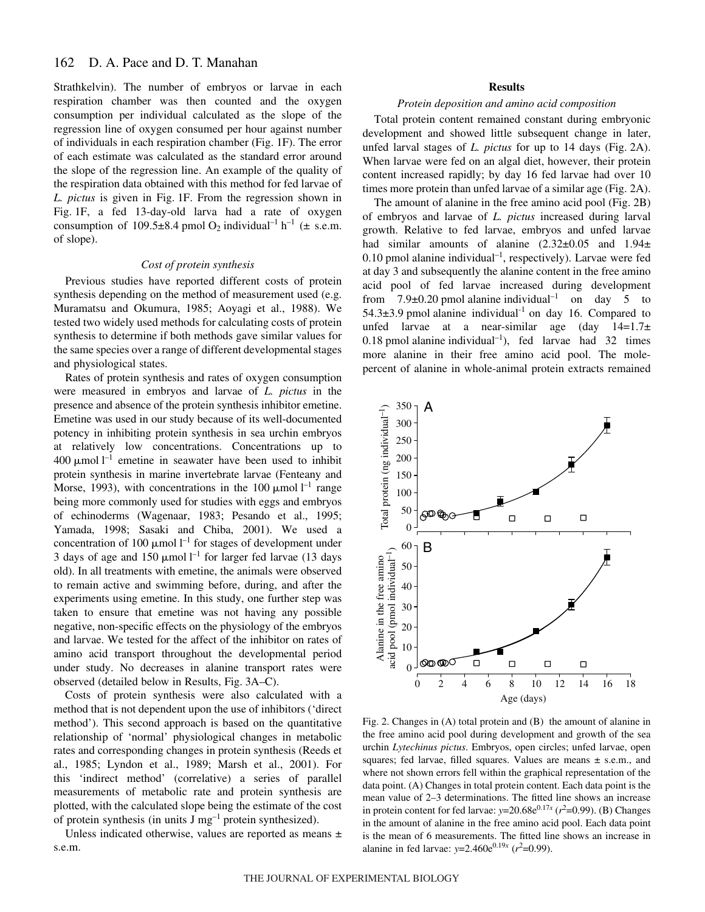Strathkelvin). The number of embryos or larvae in each respiration chamber was then counted and the oxygen consumption per individual calculated as the slope of the regression line of oxygen consumed per hour against number of individuals in each respiration chamber (Fig. 1F). The error of each estimate was calculated as the standard error around the slope of the regression line. An example of the quality of the respiration data obtained with this method for fed larvae of *L. pictus* is given in Fig. 1F. From the regression shown in Fig. 1F, a fed 13-day-old larva had a rate of oxygen consumption of 109.5 $\pm$ 8.4 pmol O<sub>2</sub> individual<sup>-1</sup> h<sup>-1</sup> ( $\pm$  s.e.m. of slope).

# *Cost of protein synthesis*

Previous studies have reported different costs of protein synthesis depending on the method of measurement used (e.g. Muramatsu and Okumura, 1985; Aoyagi et al., 1988). We tested two widely used methods for calculating costs of protein synthesis to determine if both methods gave similar values for the same species over a range of different developmental stages and physiological states.

Rates of protein synthesis and rates of oxygen consumption were measured in embryos and larvae of *L. pictus* in the presence and absence of the protein synthesis inhibitor emetine. Emetine was used in our study because of its well-documented potency in inhibiting protein synthesis in sea urchin embryos at relatively low concentrations. Concentrations up to 400  $\mu$ mol l<sup>-1</sup> emetine in seawater have been used to inhibit protein synthesis in marine invertebrate larvae (Fenteany and Morse, 1993), with concentrations in the 100  $\mu$ mol l<sup>-1</sup> range being more commonly used for studies with eggs and embryos of echinoderms (Wagenaar, 1983; Pesando et al., 1995; Yamada, 1998; Sasaki and Chiba, 2001). We used a concentration of 100  $\mu$ mol l<sup>-1</sup> for stages of development under 3 days of age and 150  $\mu$ mol l<sup>-1</sup> for larger fed larvae (13 days old). In all treatments with emetine, the animals were observed to remain active and swimming before, during, and after the experiments using emetine. In this study, one further step was taken to ensure that emetine was not having any possible negative, non-specific effects on the physiology of the embryos and larvae. We tested for the affect of the inhibitor on rates of amino acid transport throughout the developmental period under study. No decreases in alanine transport rates were observed (detailed below in Results, Fig. 3A–C).

Costs of protein synthesis were also calculated with a method that is not dependent upon the use of inhibitors ('direct method'). This second approach is based on the quantitative relationship of 'normal' physiological changes in metabolic rates and corresponding changes in protein synthesis (Reeds et al., 1985; Lyndon et al., 1989; Marsh et al., 2001). For this 'indirect method' (correlative) a series of parallel measurements of metabolic rate and protein synthesis are plotted, with the calculated slope being the estimate of the cost of protein synthesis (in units  $J mg^{-1}$  protein synthesized).

Unless indicated otherwise, values are reported as means ± s.e.m.

# **Results**

#### *Protein deposition and amino acid composition*

Total protein content remained constant during embryonic development and showed little subsequent change in later, unfed larval stages of *L. pictus* for up to 14 days (Fig. 2A). When larvae were fed on an algal diet, however, their protein content increased rapidly; by day 16 fed larvae had over 10 times more protein than unfed larvae of a similar age (Fig. 2A).

The amount of alanine in the free amino acid pool (Fig. 2B) of embryos and larvae of *L. pictus* increased during larval growth. Relative to fed larvae, embryos and unfed larvae had similar amounts of alanine  $(2.32\pm0.05$  and  $1.94\pm$ 0.10 pmol alanine individual<sup>-1</sup>, respectively). Larvae were fed at day 3 and subsequently the alanine content in the free amino acid pool of fed larvae increased during development from 7.9 $\pm$ 0.20 pmol alanine individual<sup>-1</sup> on day 5 to 54.3 $\pm$ 3.9 pmol alanine individual<sup>-1</sup> on day 16. Compared to unfed larvae at a near-similar age  $(\text{day } 14=1.7\pm$ 0.18 pmol alanine individual<sup>-1</sup>), fed larvae had 32 times more alanine in their free amino acid pool. The molepercent of alanine in whole-animal protein extracts remained



Fig. 2. Changes in  $(A)$  total protein and  $(B)$  the amount of alanine in the free amino acid pool during development and growth of the sea urchin *Lytechinus pictus*. Embryos, open circles; unfed larvae, open squares; fed larvae, filled squares. Values are means ± s.e.m., and where not shown errors fell within the graphical representation of the data point. (A) Changes in total protein content. Each data point is the mean value of 2–3 determinations. The fitted line shows an increase in protein content for fed larvae:  $y=20.68e^{0.17x}$  ( $r^2=0.99$ ). (B) Changes in the amount of alanine in the free amino acid pool. Each data point is the mean of 6 measurements. The fitted line shows an increase in alanine in fed larvae:  $y=2.460e^{0.19x}$  ( $r^2=0.99$ ).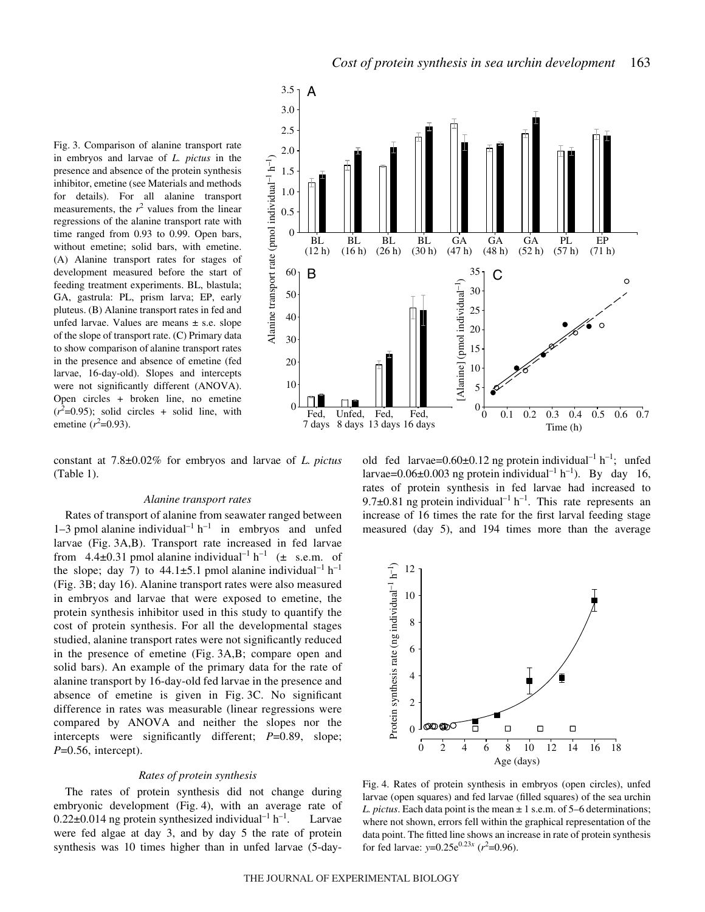

2.0 1.5 1.0 0.5  $\Omega$ BL BL BL BL **GA GA GA** PL EP (12 h) (16 h) (26 h) (47 h) (48 h) (57 h) (30 h) (52 h) (71 h) 60 B  $351 C$ Ċ [Alanine] (pmol individual<sup>-1</sup>) [Alanine] (pmol individual–1) 30 50 25 40 20 30 15 20 10 10 5  $\overline{0}$ 0 0 0.1 0.2 0.3 0.4 0.5 0.6 0.7 Fed, Unfed, Fed, Fed, 7 days 8 days 13 days 16 days Time (h)

constant at 7.8±0.02% for embryos and larvae of *L. pictus*  $(Table 1)$ .

2.5 3.0 3.5 A

#### *Alanine transport rates*

Rates of transport of alanine from seawater ranged between 1–3 pmol alanine individual<sup>-1</sup>  $h^{-1}$  in embryos and unfed larvae (Fig. 3A,B). Transport rate increased in fed larvae from 4.4 $\pm$ 0.31 pmol alanine individual<sup>-1</sup> h<sup>-1</sup> ( $\pm$  s.e.m. of the slope; day 7) to  $44.1\pm5.1$  pmol alanine individual<sup>-1</sup> h<sup>-1</sup> (Fig. 3B; day 16). Alanine transport rates were also measured in embryos and larvae that were exposed to emetine, the protein synthesis inhibitor used in this study to quantify the cost of protein synthesis. For all the developmental stages studied, alanine transport rates were not significantly reduced in the presence of emetine (Fig. 3A,B; compare open and solid bars). An example of the primary data for the rate of alanine transport by 16-day-old fed larvae in the presence and absence of emetine is given in Fig. 3C. No significant difference in rates was measurable (linear regressions were compared by ANOVA and neither the slopes nor the intercepts were significantly different; *P*=0.89, slope; *P*=0.56, intercept).

### *Rates of protein synthesis*

The rates of protein synthesis did not change during embryonic development (Fig. 4), with an average rate of  $0.22\pm0.014$  ng protein synthesized individual<sup>-1</sup> h<sup>-1</sup>. Larvae were fed algae at day 3, and by day 5 the rate of protein synthesis was 10 times higher than in unfed larvae (5-dayold fed larvae= $0.60\pm0.12$  ng protein individual<sup>-1</sup> h<sup>-1</sup>; unfed larvae= $0.06\pm0.003$  ng protein individual<sup>-1</sup> h<sup>-1</sup>). By day 16, rates of protein synthesis in fed larvae had increased to 9.7 $\pm$ 0.81 ng protein individual<sup>-1</sup> h<sup>-1</sup>. This rate represents an increase of 16 times the rate for the first larval feeding stage measured (day 5), and 194 times more than the average



Fig. 4. Rates of protein synthesis in embryos (open circles), unfed larvae (open squares) and fed larvae (filled squares) of the sea urchin *L. pictus*. Each data point is the mean ± 1 s.e.m. of 5–6 determinations; where not shown, errors fell within the graphical representation of the data point. The fitted line shows an increase in rate of protein synthesis for fed larvae:  $y=0.25e^{0.23x}$  ( $r^2=0.96$ ).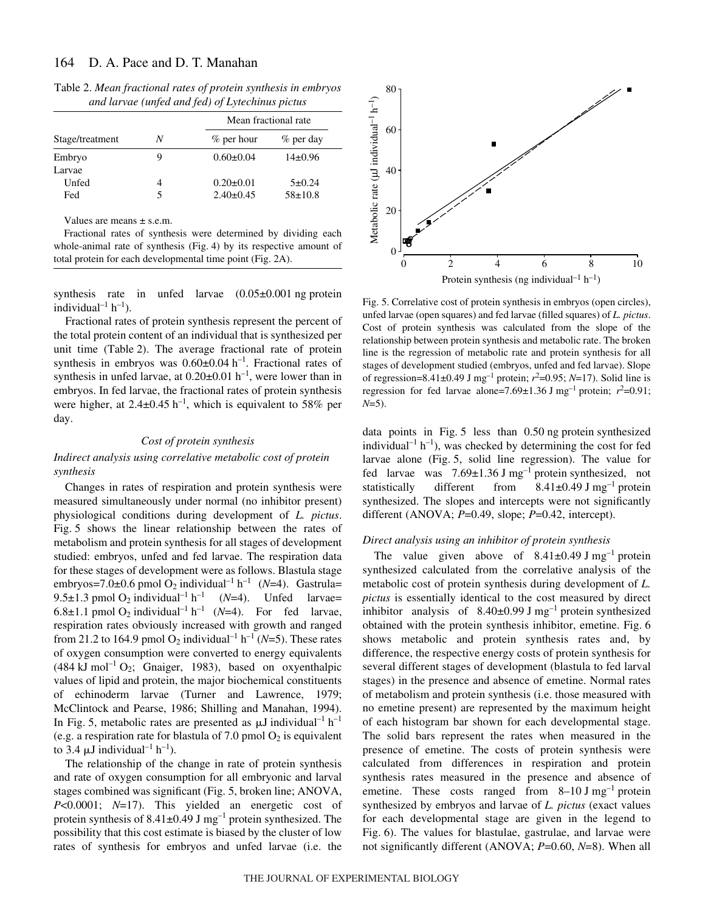Table 2. *Mean fractional rates of protein synthesis in embryos and larvae (unfed and fed) of Lytechinus pictus*

| Stage/treatment |   | Mean fractional rate |               |
|-----------------|---|----------------------|---------------|
|                 | Ν | $%$ per hour         | $\%$ per day  |
| Embryo          | Q | $0.60 \pm 0.04$      | $14\pm0.96$   |
| Larvae          |   |                      |               |
| Unfed           |   | $0.20 \pm 0.01$      | $5 \pm 0.24$  |
| Fed             | 5 | $2.40 \pm 0.45$      | $58 \pm 10.8$ |

Values are means  $\pm$  s.e.m.

Fractional rates of synthesis were determined by dividing each whole-animal rate of synthesis (Fig. 4) by its respective amount of total protein for each developmental time point (Fig. 2A).

synthesis rate in unfed larvae  $(0.05\pm0.001$  ng protein individual<sup>-1</sup>  $h^{-1}$ ).

Fractional rates of protein synthesis represent the percent of the total protein content of an individual that is synthesized per unit time (Table 2). The average fractional rate of protein synthesis in embryos was  $0.60\pm0.04$  h<sup>-1</sup>. Fractional rates of synthesis in unfed larvae, at  $0.20\pm0.01 h^{-1}$ , were lower than in embryos. In fed larvae, the fractional rates of protein synthesis were higher, at  $2.4\pm0.45$  h<sup>-1</sup>, which is equivalent to 58% per day.

# *Cost of protein synthesis*

# *Indirect analysis using correlative metabolic cost of protein synthesis*

Changes in rates of respiration and protein synthesis were measured simultaneously under normal (no inhibitor present) physiological conditions during development of *L. pictus*. Fig. 5 shows the linear relationship between the rates of metabolism and protein synthesis for all stages of development studied: embryos, unfed and fed larvae. The respiration data for these stages of development were as follows. Blastula stage embryos=7.0±0.6 pmol O<sub>2</sub> individual<sup>-1</sup> h<sup>-1</sup> (*N*=4). Gastrula= 9.5 $\pm$ 1.3 pmol O<sub>2</sub> individual<sup>-1</sup> h<sup>-1</sup> (*N*=4). Unfed larvae= 6.8 $\pm$ 1.1 pmol O<sub>2</sub> individual<sup>-1</sup> h<sup>-1</sup> (*N*=4). For fed larvae, respiration rates obviously increased with growth and ranged from 21.2 to 164.9 pmol  $O_2$  individual<sup>-1</sup> h<sup>-1</sup> (*N*=5). These rates of oxygen consumption were converted to energy equivalents  $(484 \text{ kJ mol}^{-1} \text{ O}_2$ ; Gnaiger, 1983), based on oxyenthalpic values of lipid and protein, the major biochemical constituents of echinoderm larvae (Turner and Lawrence, 1979; McClintock and Pearse, 1986; Shilling and Manahan, 1994). In Fig. 5, metabolic rates are presented as  $\mu$ J individual<sup>-1</sup> h<sup>-1</sup> (e.g. a respiration rate for blastula of 7.0 pmol  $O_2$  is equivalent to 3.4  $\mu$ J individual<sup>-1</sup> h<sup>-1</sup>).

The relationship of the change in rate of protein synthesis and rate of oxygen consumption for all embryonic and larval stages combined was significant (Fig. 5, broken line; ANOVA, *P*<0.0001; *N*=17). This yielded an energetic cost of protein synthesis of  $8.41\pm0.49$  J mg<sup>-1</sup> protein synthesized. The possibility that this cost estimate is biased by the cluster of low rates of synthesis for embryos and unfed larvae (i.e. the



Fig. 5. Correlative cost of protein synthesis in embryos (open circles), unfed larvae (open squares) and fed larvae (filled squares) of *L. pictus*. Cost of protein synthesis was calculated from the slope of the relationship between protein synthesis and metabolic rate. The broken line is the regression of metabolic rate and protein synthesis for all stages of development studied (embryos, unfed and fed larvae). Slope of regression=8.41±0.49 J mg<sup>-1</sup> protein;  $r^2$ =0.95; *N*=17). Solid line is regression for fed larvae alone=7.69 $\pm$ 1.36 J mg<sup>-1</sup> protein;  $r^2$ =0.91; *N*=5).

data points in Fig.  $5$  less than 0.50 ng protein synthesized individual<sup>-1</sup> h<sup>-1</sup>), was checked by determining the cost for fed larvae alone (Fig. 5, solid line regression). The value for fed larvae was  $7.69 \pm 1.36$  J mg<sup>-1</sup> protein synthesized, not statistically different from  $8.41 \pm 0.49$  J mg<sup>-1</sup> protein synthesized. The slopes and intercepts were not significantly different (ANOVA; *P*=0.49, slope; *P*=0.42, intercept).

#### *Direct analysis using an inhibitor of protein synthesis*

The value given above of  $8.41\pm0.49$  J mg<sup>-1</sup> protein synthesized calculated from the correlative analysis of the metabolic cost of protein synthesis during development of *L. pictus* is essentially identical to the cost measured by direct inhibitor analysis of  $8.40\pm0.99$  J mg<sup>-1</sup> protein synthesized obtained with the protein synthesis inhibitor, emetine. Fig. 6 shows metabolic and protein synthesis rates and, by difference, the respective energy costs of protein synthesis for several different stages of development (blastula to fed larval stages) in the presence and absence of emetine. Normal rates of metabolism and protein synthesis (i.e. those measured with no emetine present) are represented by the maximum height of each histogram bar shown for each developmental stage. The solid bars represent the rates when measured in the presence of emetine. The costs of protein synthesis were calculated from differences in respiration and protein synthesis rates measured in the presence and absence of emetine. These costs ranged from  $8-10$  J mg<sup>-1</sup> protein synthesized by embryos and larvae of *L. pictus* (exact values for each developmental stage are given in the legend to Fig. 6). The values for blastulae, gastrulae, and larvae were not significantly different (ANOVA; *P*=0.60, *N*=8). When all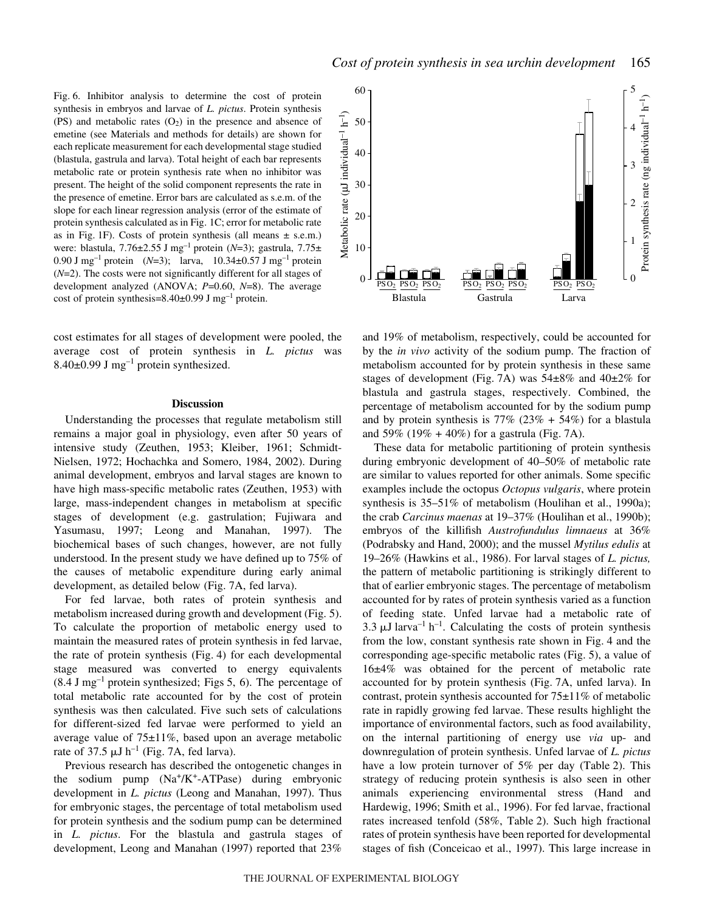Fig. 6. Inhibitor analysis to determine the cost of protein synthesis in embryos and larvae of *L. pictus*. Protein synthesis (PS) and metabolic rates  $(O_2)$  in the presence and absence of emetine (see Materials and methods for details) are shown for each replicate measurement for each developmental stage studied (blastula, gastrula and larva). Total height of each bar represents metabolic rate or protein synthesis rate when no inhibitor was present. The height of the solid component represents the rate in the presence of emetine. Error bars are calculated as s.e.m. of the slope for each linear regression analysis (error of the estimate of protein synthesis calculated as in Fig. 1C; error for metabolic rate as in Fig. 1F). Costs of protein synthesis (all means  $\pm$  s.e.m.) were: blastula,  $7.76\pm2.55$  J mg<sup>-1</sup> protein (*N*=3); gastrula,  $7.75\pm$ 0.90 J mg<sup>-1</sup> protein (*N*=3); larva,  $10.34 \pm 0.57$  J mg<sup>-1</sup> protein (*N*=2). The costs were not significantly different for all stages of development analyzed (ANOVA; *P*=0.60, *N*=8). The average cost of protein synthesis=8.40 $\pm$ 0.99 J mg<sup>-1</sup> protein.

cost estimates for all stages of development were pooled, the average cost of protein synthesis in *L. pictus* was 8.40 $\pm$ 0.99 J mg<sup>-1</sup> protein synthesized.

### **Discussion**

Understanding the processes that regulate metabolism still remains a major goal in physiology, even after 50 years of intensive study (Zeuthen, 1953; Kleiber, 1961; Schmidt-Nielsen, 1972; Hochachka and Somero, 1984, 2002). During animal development, embryos and larval stages are known to have high mass-specific metabolic rates (Zeuthen, 1953) with large, mass-independent changes in metabolism at specific stages of development (e.g. gastrulation; Fujiwara and Yasumasu, 1997; Leong and Manahan, 1997). The biochemical bases of such changes, however, are not fully understood. In the present study we have defined up to 75% of the causes of metabolic expenditure during early animal development, as detailed below (Fig. 7A, fed larva).

For fed larvae, both rates of protein synthesis and metabolism increased during growth and development (Fig. 5). To calculate the proportion of metabolic energy used to maintain the measured rates of protein synthesis in fed larvae, the rate of protein synthesis (Fig. 4) for each developmental stage measured was converted to energy equivalents  $(8.4 \text{ J} \text{ mg}^{-1})$  protein synthesized; Figs 5, 6). The percentage of total metabolic rate accounted for by the cost of protein synthesis was then calculated. Five such sets of calculations for different-sized fed larvae were performed to yield an average value of  $75\pm11\%$ , based upon an average metabolic rate of 37.5  $\mu$ J h<sup>-1</sup> (Fig. 7A, fed larva).

Previous research has described the ontogenetic changes in the sodium pump  $(Na^+/K^+ATPase)$  during embryonic development in *L. pictus* (Leong and Manahan, 1997). Thus for embryonic stages, the percentage of total metabolism used for protein synthesis and the sodium pump can be determined in *L. pictus*. For the blastula and gastrula stages of development, Leong and Manahan (1997) reported that 23%



and 19% of metabolism, respectively, could be accounted for by the *in vivo* activity of the sodium pump. The fraction of metabolism accounted for by protein synthesis in these same stages of development (Fig. 7A) was  $54\pm8\%$  and  $40\pm2\%$  for blastula and gastrula stages, respectively. Combined, the percentage of metabolism accounted for by the sodium pump and by protein synthesis is  $77\%$  (23% + 54%) for a blastula and 59% (19% + 40%) for a gastrula (Fig. 7A).

These data for metabolic partitioning of protein synthesis during embryonic development of 40–50% of metabolic rate are similar to values reported for other animals. Some specific examples include the octopus *Octopus vulgaris*, where protein synthesis is 35–51% of metabolism (Houlihan et al., 1990a); the crab *Carcinus maenas* at 19–37% (Houlihan et al., 1990b); embryos of the killifish *Austrofundulus limnaeus* at 36% (Podrabsky and Hand, 2000); and the mussel *Mytilus edulis* at 19–26% (Hawkins et al., 1986). For larval stages of *L. pictus,* the pattern of metabolic partitioning is strikingly different to that of earlier embryonic stages. The percentage of metabolism accounted for by rates of protein synthesis varied as a function of feeding state. Unfed larvae had a metabolic rate of 3.3  $\mu$ J larva<sup>-1</sup> h<sup>-1</sup>. Calculating the costs of protein synthesis from the low, constant synthesis rate shown in Fig. 4 and the corresponding age-specific metabolic rates (Fig. 5), a value of 16±4% was obtained for the percent of metabolic rate accounted for by protein synthesis (Fig. 7A, unfed larva). In contrast, protein synthesis accounted for 75±11% of metabolic rate in rapidly growing fed larvae. These results highlight the importance of environmental factors, such as food availability, on the internal partitioning of energy use *via* up- and downregulation of protein synthesis. Unfed larvae of *L. pictus* have a low protein turnover of  $5\%$  per day (Table 2). This strategy of reducing protein synthesis is also seen in other animals experiencing environmental stress (Hand and Hardewig, 1996; Smith et al., 1996). For fed larvae, fractional rates increased tenfold (58%, Table 2). Such high fractional rates of protein synthesis have been reported for developmental stages of fish (Conceicao et al., 1997). This large increase in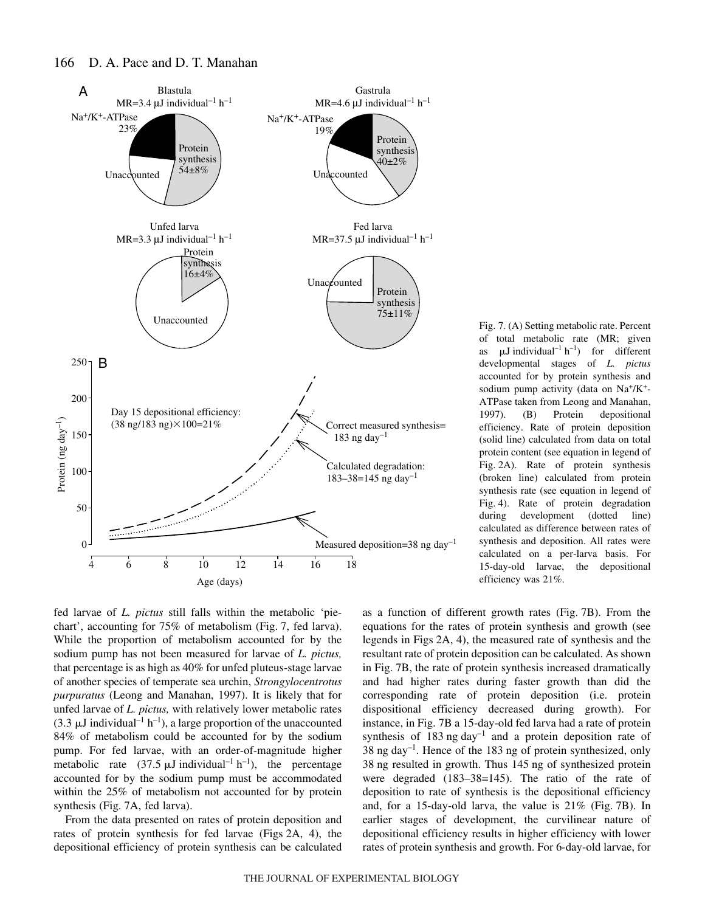

Fig. 7. (A) Setting metabolic rate. Percent of total metabolic rate (MR; given as  $\mu$ J individual<sup>-1</sup> h<sup>-1</sup>) for different developmental stages of *L. pictus* accounted for by protein synthesis and sodium pump activity (data on  $Na^+/K^+$ -ATPase taken from Leong and Manahan, 1997). (B) Protein depositional efficiency. Rate of protein deposition (solid line) calculated from data on total protein content (see equation in legend of Fig. 2A). Rate of protein synthesis (broken line) calculated from protein synthesis rate (see equation in legend of Fig. 4). Rate of protein degradation during development (dotted line) calculated as difference between rates of synthesis and deposition. All rates were calculated on a per-larva basis. For 15-day-old larvae, the depositional efficiency was 21%.

fed larvae of *L. pictus* still falls within the metabolic 'piechart', accounting for  $75\%$  of metabolism (Fig. 7, fed larva). While the proportion of metabolism accounted for by the sodium pump has not been measured for larvae of *L. pictus,* that percentage is as high as 40% for unfed pluteus-stage larvae of another species of temperate sea urchin, *Strongylocentrotus purpuratus* (Leong and Manahan, 1997). It is likely that for unfed larvae of *L. pictus,* with relatively lower metabolic rates (3.3  $\mu$ J individual<sup>-1</sup> h<sup>-1</sup>), a large proportion of the unaccounted 84% of metabolism could be accounted for by the sodium pump. For fed larvae, with an order-of-magnitude higher metabolic rate  $(37.5 \mu J \text{ individual}^{-1} \text{ h}^{-1})$ , the percentage accounted for by the sodium pump must be accommodated within the 25% of metabolism not accounted for by protein synthesis (Fig. 7A, fed larva).

From the data presented on rates of protein deposition and rates of protein synthesis for fed larvae (Figs 2A, 4), the depositional efficiency of protein synthesis can be calculated as a function of different growth rates (Fig.  $7B$ ). From the equations for the rates of protein synthesis and growth (see legends in Figs 2A, 4), the measured rate of synthesis and the resultant rate of protein deposition can be calculated. As shown in Fig. 7B, the rate of protein synthesis increased dramatically and had higher rates during faster growth than did the corresponding rate of protein deposition (i.e. protein dispositional efficiency decreased during growth). For instance, in Fig. 7B a 15-day-old fed larva had a rate of protein synthesis of  $183$  ng day<sup>-1</sup> and a protein deposition rate of  $38$  ng day<sup>-1</sup>. Hence of the 183 ng of protein synthesized, only 38 ng resulted in growth. Thus 145 ng of synthesized protein were degraded (183–38=145). The ratio of the rate of deposition to rate of synthesis is the depositional efficiency and, for a 15-day-old larva, the value is  $21\%$  (Fig. 7B). In earlier stages of development, the curvilinear nature of depositional efficiency results in higher efficiency with lower rates of protein synthesis and growth. For 6-day-old larvae, for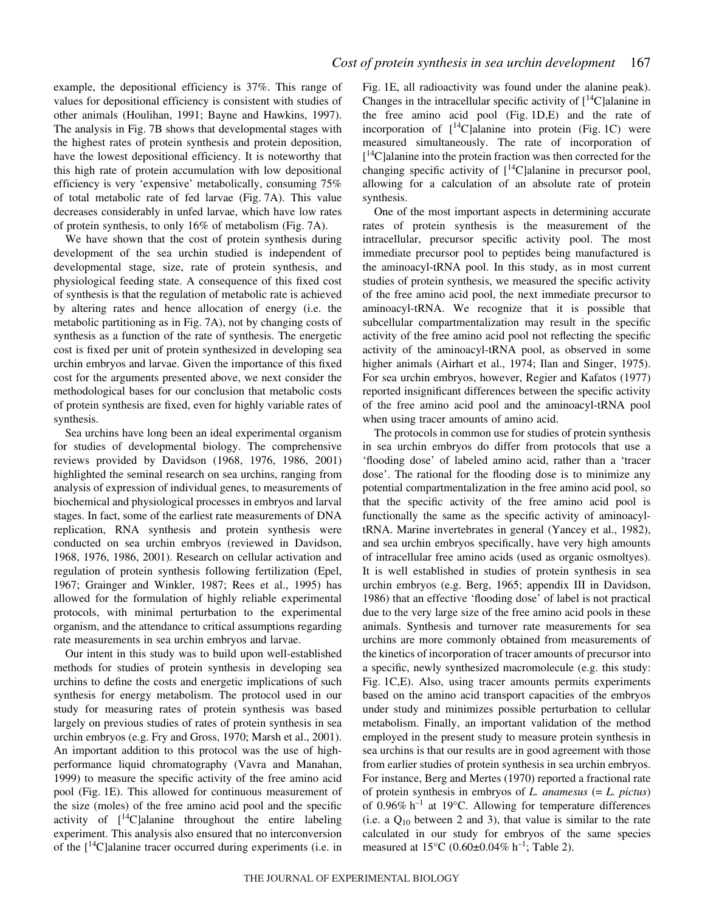example, the depositional efficiency is 37%. This range of values for depositional efficiency is consistent with studies of other animals (Houlihan, 1991; Bayne and Hawkins, 1997). The analysis in Fig. 7B shows that developmental stages with the highest rates of protein synthesis and protein deposition, have the lowest depositional efficiency. It is noteworthy that this high rate of protein accumulation with low depositional efficiency is very 'expensive' metabolically, consuming 75% of total metabolic rate of fed larvae (Fig. 7A). This value decreases considerably in unfed larvae, which have low rates of protein synthesis, to only 16% of metabolism (Fig. 7A).

We have shown that the cost of protein synthesis during development of the sea urchin studied is independent of developmental stage, size, rate of protein synthesis, and physiological feeding state. A consequence of this fixed cost of synthesis is that the regulation of metabolic rate is achieved by altering rates and hence allocation of energy (i.e. the metabolic partitioning as in Fig. 7A), not by changing costs of synthesis as a function of the rate of synthesis. The energetic cost is fixed per unit of protein synthesized in developing sea urchin embryos and larvae. Given the importance of this fixed cost for the arguments presented above, we next consider the methodological bases for our conclusion that metabolic costs of protein synthesis are fixed, even for highly variable rates of synthesis.

Sea urchins have long been an ideal experimental organism for studies of developmental biology. The comprehensive reviews provided by Davidson (1968, 1976, 1986, 2001) highlighted the seminal research on sea urchins, ranging from analysis of expression of individual genes, to measurements of biochemical and physiological processes in embryos and larval stages. In fact, some of the earliest rate measurements of DNA replication, RNA synthesis and protein synthesis were conducted on sea urchin embryos (reviewed in Davidson, 1968, 1976, 1986, 2001). Research on cellular activation and regulation of protein synthesis following fertilization (Epel, 1967; Grainger and Winkler, 1987; Rees et al., 1995) has allowed for the formulation of highly reliable experimental protocols, with minimal perturbation to the experimental organism, and the attendance to critical assumptions regarding rate measurements in sea urchin embryos and larvae.

Our intent in this study was to build upon well-established methods for studies of protein synthesis in developing sea urchins to define the costs and energetic implications of such synthesis for energy metabolism. The protocol used in our study for measuring rates of protein synthesis was based largely on previous studies of rates of protein synthesis in sea urchin embryos (e.g. Fry and Gross, 1970; Marsh et al., 2001). An important addition to this protocol was the use of highperformance liquid chromatography (Vavra and Manahan, 1999) to measure the specific activity of the free amino acid pool (Fig. 1E). This allowed for continuous measurement of the size (moles) of the free amino acid pool and the specific activity of  $\int_0^{14}$ C alanine throughout the entire labeling experiment. This analysis also ensured that no interconversion of the  $[14C]$ alanine tracer occurred during experiments (i.e. in Fig. 1E, all radioactivity was found under the alanine peak). Changes in the intracellular specific activity of  $[^{14}C]$ alanine in the free amino acid pool  $(Fig. 1D,E)$  and the rate of incorporation of  $[^{14}C]$ alanine into protein (Fig. 1C) were measured simultaneously. The rate of incorporation of [ 14C]alanine into the protein fraction was then corrected for the changing specific activity of  $[{}^{14}C]$ alanine in precursor pool, allowing for a calculation of an absolute rate of protein synthesis.

One of the most important aspects in determining accurate rates of protein synthesis is the measurement of the intracellular, precursor specific activity pool. The most immediate precursor pool to peptides being manufactured is the aminoacyl-tRNA pool. In this study, as in most current studies of protein synthesis, we measured the specific activity of the free amino acid pool, the next immediate precursor to aminoacyl-tRNA. We recognize that it is possible that subcellular compartmentalization may result in the specific activity of the free amino acid pool not reflecting the specific activity of the aminoacyl-tRNA pool, as observed in some higher animals (Airhart et al., 1974; Ilan and Singer, 1975). For sea urchin embryos, however, Regier and Kafatos (1977) reported insignificant differences between the specific activity of the free amino acid pool and the aminoacyl-tRNA pool when using tracer amounts of amino acid.

The protocols in common use for studies of protein synthesis in sea urchin embryos do differ from protocols that use a 'flooding dose' of labeled amino acid, rather than a 'tracer dose'. The rational for the flooding dose is to minimize any potential compartmentalization in the free amino acid pool, so that the specific activity of the free amino acid pool is functionally the same as the specific activity of aminoacyltRNA. Marine invertebrates in general (Yancey et al., 1982), and sea urchin embryos specifically, have very high amounts of intracellular free amino acids (used as organic osmoltyes). It is well established in studies of protein synthesis in sea urchin embryos (e.g. Berg, 1965; appendix III in Davidson, 1986) that an effective 'flooding dose' of label is not practical due to the very large size of the free amino acid pools in these animals. Synthesis and turnover rate measurements for sea urchins are more commonly obtained from measurements of the kinetics of incorporation of tracer amounts of precursor into a specific, newly synthesized macromolecule (e.g. this study: Fig. 1C,E). Also, using tracer amounts permits experiments based on the amino acid transport capacities of the embryos under study and minimizes possible perturbation to cellular metabolism. Finally, an important validation of the method employed in the present study to measure protein synthesis in sea urchins is that our results are in good agreement with those from earlier studies of protein synthesis in sea urchin embryos. For instance, Berg and Mertes (1970) reported a fractional rate of protein synthesis in embryos of *L. anamesus* (= *L. pictus*) of 0.96%  $h^{-1}$  at 19°C. Allowing for temperature differences (i.e. a  $Q_{10}$  between 2 and 3), that value is similar to the rate calculated in our study for embryos of the same species measured at  $15^{\circ}$ C (0.60±0.04% h<sup>-1</sup>; Table 2).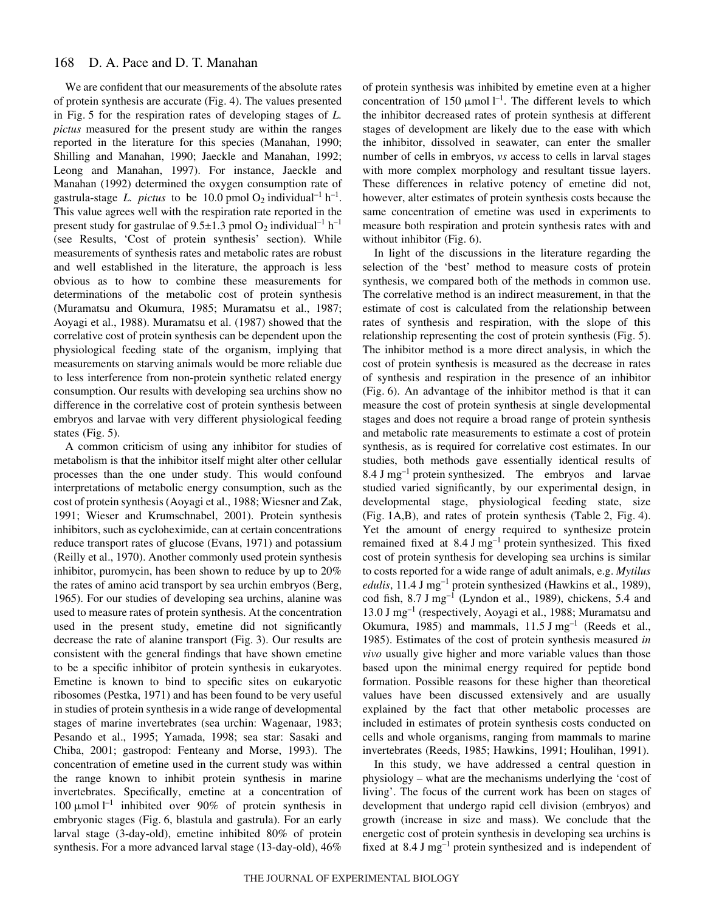We are confident that our measurements of the absolute rates of protein synthesis are accurate (Fig. 4). The values presented in Fig. 5 for the respiration rates of developing stages of *L*. *pictus* measured for the present study are within the ranges reported in the literature for this species (Manahan, 1990; Shilling and Manahan, 1990; Jaeckle and Manahan, 1992; Leong and Manahan, 1997). For instance, Jaeckle and Manahan (1992) determined the oxygen consumption rate of gastrula-stage *L. pictus* to be 10.0 pmol  $O_2$  individual<sup>-1</sup> h<sup>-1</sup>. This value agrees well with the respiration rate reported in the present study for gastrulae of  $9.5\pm1.3$  pmol O<sub>2</sub> individual<sup>-1</sup> h<sup>-1</sup> (see Results, 'Cost of protein synthesis' section). While measurements of synthesis rates and metabolic rates are robust and well established in the literature, the approach is less obvious as to how to combine these measurements for determinations of the metabolic cost of protein synthesis (Muramatsu and Okumura, 1985; Muramatsu et al., 1987; Aoyagi et al., 1988). Muramatsu et al. (1987) showed that the correlative cost of protein synthesis can be dependent upon the physiological feeding state of the organism, implying that measurements on starving animals would be more reliable due to less interference from non-protein synthetic related energy consumption. Our results with developing sea urchins show no difference in the correlative cost of protein synthesis between embryos and larvae with very different physiological feeding states  $(Fig. 5)$ .

A common criticism of using any inhibitor for studies of metabolism is that the inhibitor itself might alter other cellular processes than the one under study. This would confound interpretations of metabolic energy consumption, such as the cost of protein synthesis (Aoyagi et al., 1988; Wiesner and Zak, 1991; Wieser and Krumschnabel, 2001). Protein synthesis inhibitors, such as cycloheximide, can at certain concentrations reduce transport rates of glucose (Evans, 1971) and potassium (Reilly et al., 1970). Another commonly used protein synthesis inhibitor, puromycin, has been shown to reduce by up to 20% the rates of amino acid transport by sea urchin embryos (Berg, 1965). For our studies of developing sea urchins, alanine was used to measure rates of protein synthesis. At the concentration used in the present study, emetine did not significantly decrease the rate of alanine transport (Fig. 3). Our results are consistent with the general findings that have shown emetine to be a specific inhibitor of protein synthesis in eukaryotes. Emetine is known to bind to specific sites on eukaryotic ribosomes (Pestka, 1971) and has been found to be very useful in studies of protein synthesis in a wide range of developmental stages of marine invertebrates (sea urchin: Wagenaar, 1983; Pesando et al., 1995; Yamada, 1998; sea star: Sasaki and Chiba, 2001; gastropod: Fenteany and Morse, 1993). The concentration of emetine used in the current study was within the range known to inhibit protein synthesis in marine invertebrates. Specifically, emetine at a concentration of 100  $\mu$ mol l<sup>-1</sup> inhibited over 90% of protein synthesis in embryonic stages (Fig. 6, blastula and gastrula). For an early larval stage (3-day-old), emetine inhibited 80% of protein synthesis. For a more advanced larval stage (13-day-old), 46% of protein synthesis was inhibited by emetine even at a higher concentration of 150  $\mu$ mol l<sup>-1</sup>. The different levels to which the inhibitor decreased rates of protein synthesis at different stages of development are likely due to the ease with which the inhibitor, dissolved in seawater, can enter the smaller number of cells in embryos, *vs* access to cells in larval stages with more complex morphology and resultant tissue layers. These differences in relative potency of emetine did not, however, alter estimates of protein synthesis costs because the same concentration of emetine was used in experiments to measure both respiration and protein synthesis rates with and without inhibitor (Fig.  $6$ ).

In light of the discussions in the literature regarding the selection of the 'best' method to measure costs of protein synthesis, we compared both of the methods in common use. The correlative method is an indirect measurement, in that the estimate of cost is calculated from the relationship between rates of synthesis and respiration, with the slope of this relationship representing the cost of protein synthesis (Fig. 5). The inhibitor method is a more direct analysis, in which the cost of protein synthesis is measured as the decrease in rates of synthesis and respiration in the presence of an inhibitor (Fig. 6). An advantage of the inhibitor method is that it can measure the cost of protein synthesis at single developmental stages and does not require a broad range of protein synthesis and metabolic rate measurements to estimate a cost of protein synthesis, as is required for correlative cost estimates. In our studies, both methods gave essentially identical results of  $8.4 \text{ J} \text{ mg}^{-1}$  protein synthesized. The embryos and larvae studied varied significantly, by our experimental design, in developmental stage, physiological feeding state, size  $(Fig. 1A,B)$ , and rates of protein synthesis (Table 2, Fig. 4). Yet the amount of energy required to synthesize protein remained fixed at  $8.4 \text{ J mg}^{-1}$  protein synthesized. This fixed cost of protein synthesis for developing sea urchins is similar to costs reported for a wide range of adult animals, e.g. *Mytilus edulis*, 11.4 J mg<sup>-1</sup> protein synthesized (Hawkins et al., 1989), cod fish,  $8.7 \text{ J mg}^{-1}$  (Lyndon et al., 1989), chickens, 5.4 and 13.0  $J \text{ mg}^{-1}$  (respectively, Aoyagi et al., 1988; Muramatsu and Okumura, 1985) and mammals,  $11.5 \text{ J mg}^{-1}$  (Reeds et al., 1985). Estimates of the cost of protein synthesis measured *in vivo* usually give higher and more variable values than those based upon the minimal energy required for peptide bond formation. Possible reasons for these higher than theoretical values have been discussed extensively and are usually explained by the fact that other metabolic processes are included in estimates of protein synthesis costs conducted on cells and whole organisms, ranging from mammals to marine invertebrates (Reeds, 1985; Hawkins, 1991; Houlihan, 1991).

In this study, we have addressed a central question in physiology – what are the mechanisms underlying the 'cost of living'. The focus of the current work has been on stages of development that undergo rapid cell division (embryos) and growth (increase in size and mass). We conclude that the energetic cost of protein synthesis in developing sea urchins is fixed at 8.4 J  $mg^{-1}$  protein synthesized and is independent of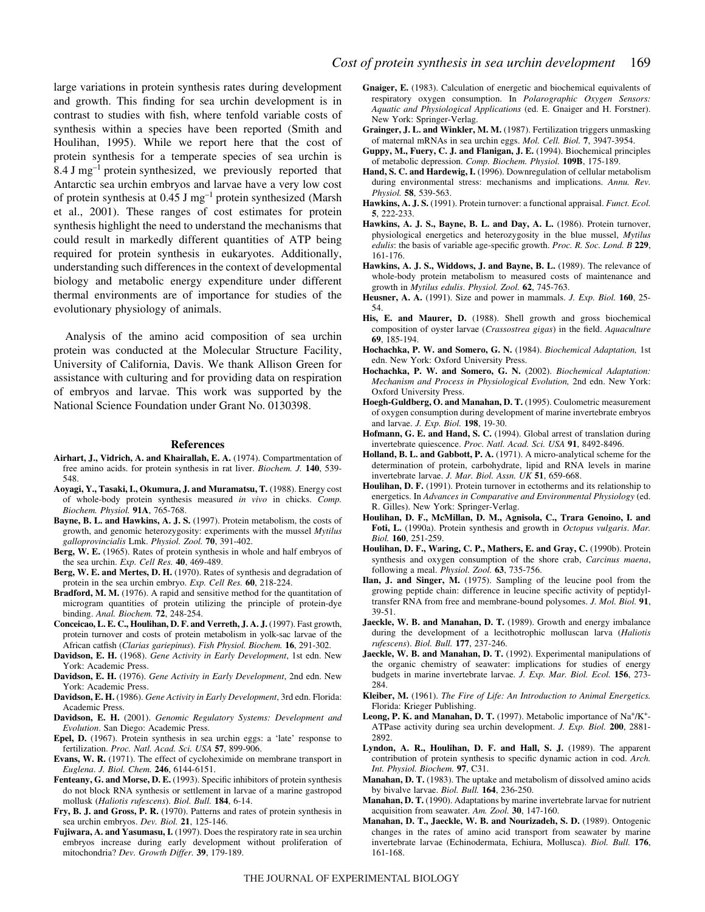large variations in protein synthesis rates during development and growth. This finding for sea urchin development is in contrast to studies with fish, where tenfold variable costs of synthesis within a species have been reported (Smith and Houlihan, 1995). While we report here that the cost of protein synthesis for a temperate species of sea urchin is 8.4  $J \, \text{mg}^{-1}$  protein synthesized, we previously reported that Antarctic sea urchin embryos and larvae have a very low cost of protein synthesis at  $0.45$  J mg<sup>-1</sup> protein synthesized (Marsh et al., 2001). These ranges of cost estimates for protein synthesis highlight the need to understand the mechanisms that could result in markedly different quantities of ATP being required for protein synthesis in eukaryotes. Additionally, understanding such differences in the context of developmental biology and metabolic energy expenditure under different thermal environments are of importance for studies of the evolutionary physiology of animals.

Analysis of the amino acid composition of sea urchin protein was conducted at the Molecular Structure Facility, University of California, Davis. We thank Allison Green for assistance with culturing and for providing data on respiration of embryos and larvae. This work was supported by the National Science Foundation under Grant No. 0130398.

#### **References**

- **Airhart, J., Vidrich, A. and Khairallah, E. A.** (1974). Compartmentation of free amino acids. for protein synthesis in rat liver. *Biochem. J.* **140**, 539- 548.
- **Aoyagi, Y., Tasaki, I., Okumura, J. and Muramatsu, T.** (1988). Energy cost of whole-body protein synthesis measured *in vivo* in chicks. *Comp. Biochem. Physiol.* **91A**, 765-768.
- **Bayne, B. L. and Hawkins, A. J. S.** (1997). Protein metabolism, the costs of growth, and genomic heterozygosity: experiments with the mussel *Mytilus galloprovincialis* Lmk. *Physiol. Zool.* **70**, 391-402.
- **Berg, W. E.** (1965). Rates of protein synthesis in whole and half embryos of the sea urchin. *Exp. Cell Res.* **40**, 469-489.
- **Berg, W. E. and Mertes, D. H.** (1970). Rates of synthesis and degradation of protein in the sea urchin embryo. *Exp. Cell Res.* **60**, 218-224.
- **Bradford, M. M.** (1976). A rapid and sensitive method for the quantitation of microgram quantities of protein utilizing the principle of protein-dye binding. *Anal. Biochem.* **72**, 248-254.
- **Conceicao, L. E. C., Houlihan, D. F. and Verreth, J. A. J.** (1997). Fast growth, protein turnover and costs of protein metabolism in yolk-sac larvae of the African catfish (*Clarias gariepinus*). *Fish Physiol. Biochem.* **16**, 291-302.
- **Davidson, E. H.** (1968). *Gene Activity in Early Development*, 1st edn. New York: Academic Press.
- **Davidson, E. H.** (1976). *Gene Activity in Early Development*, 2nd edn. New York: Academic Press.
- **Davidson, E. H.** (1986). *Gene Activity in Early Development*, 3rd edn. Florida: Academic Press.
- **Davidson, E. H.** (2001). *Genomic Regulatory Systems: Development and Evolution*. San Diego: Academic Press.
- **Epel, D.** (1967). Protein synthesis in sea urchin eggs: a 'late' response to fertilization. *Proc. Natl. Acad. Sci. USA* **57**, 899-906.
- **Evans, W. R.** (1971). The effect of cycloheximide on membrane transport in *Euglena*. *J. Biol. Chem.* **246**, 6144-6151.
- **Fenteany, G. and Morse, D. E.** (1993). Specific inhibitors of protein synthesis do not block RNA synthesis or settlement in larvae of a marine gastropod mollusk (*Haliotis rufescens*). *Biol. Bull.* **184**, 6-14.
- **Fry, B. J. and Gross, P. R.** (1970). Patterns and rates of protein synthesis in sea urchin embryos. *Dev. Biol.* **21**, 125-146.
- **Fujiwara, A. and Yasumasu, I.** (1997). Does the respiratory rate in sea urchin embryos increase during early development without proliferation of mitochondria? *Dev. Growth Differ.* **39**, 179-189.
- **Gnaiger, E.** (1983). Calculation of energetic and biochemical equivalents of respiratory oxygen consumption. In *Polarographic Oxygen Sensors: Aquatic and Physiological Applications* (ed. E. Gnaiger and H. Forstner). New York: Springer-Verlag.
- **Grainger, J. L. and Winkler, M. M.** (1987). Fertilization triggers unmasking of maternal mRNAs in sea urchin eggs. *Mol. Cell. Biol.* **7**, 3947-3954.
- **Guppy, M., Fuery, C. J. and Flanigan, J. E.** (1994). Biochemical principles of metabolic depression. *Comp. Biochem. Physiol.* **109B**, 175-189.
- **Hand, S. C. and Hardewig, I.** (1996). Downregulation of cellular metabolism during environmental stress: mechanisms and implications. *Annu. Rev. Physiol.* **58**, 539-563.
- **Hawkins, A. J. S.** (1991). Protein turnover: a functional appraisal. *Funct. Ecol.* **5**, 222-233.
- **Hawkins, A. J. S., Bayne, B. L. and Day, A. L.** (1986). Protein turnover, physiological energetics and heterozygosity in the blue mussel, *Mytilus edulis*: the basis of variable age-specific growth. *Proc. R. Soc. Lond. B* **229**, 161-176.
- **Hawkins, A. J. S., Widdows, J. and Bayne, B. L.** (1989). The relevance of whole-body protein metabolism to measured costs of maintenance and growth in *Mytilus edulis*. *Physiol. Zool.* **62**, 745-763.
- **Heusner, A. A.** (1991). Size and power in mammals. *J. Exp. Biol.* **160**, 25- 54.
- **His, E. and Maurer, D.** (1988). Shell growth and gross biochemical composition of oyster larvae (*Crassostrea gigas*) in the field. *Aquaculture* **69**, 185-194.
- **Hochachka, P. W. and Somero, G. N.** (1984). *Biochemical Adaptation,* 1st edn. New York: Oxford University Press.
- **Hochachka, P. W. and Somero, G. N.** (2002). *Biochemical Adaptation: Mechanism and Process in Physiological Evolution,* 2nd edn. New York: Oxford University Press.
- **Hoegh-Guldberg, O. and Manahan, D. T.** (1995). Coulometric measurement of oxygen consumption during development of marine invertebrate embryos and larvae. *J. Exp. Biol.* **198**, 19-30.
- **Hofmann, G. E. and Hand, S. C.** (1994). Global arrest of translation during invertebrate quiescence. *Proc. Natl. Acad. Sci. USA* **91**, 8492-8496.
- **Holland, B. L. and Gabbott, P. A.** (1971). A micro-analytical scheme for the determination of protein, carbohydrate, lipid and RNA levels in marine invertebrate larvae. *J. Mar. Biol. Assn. UK* **51**, 659-668.
- **Houlihan, D. F.** (1991). Protein turnover in ectotherms and its relationship to energetics. In *Advances in Comparative and Environmental Physiology* (ed. R. Gilles). New York: Springer-Verlag.
- **Houlihan, D. F., McMillan, D. M., Agnisola, C., Trara Genoino, I. and Foti, L.** (1990a). Protein synthesis and growth in *Octopus vulgaris*. *Mar. Biol.* **160**, 251-259.
- **Houlihan, D. F., Waring, C. P., Mathers, E. and Gray, C.** (1990b). Protein synthesis and oxygen consumption of the shore crab, *Carcinus maena*, following a meal. *Physiol. Zool.* **63**, 735-756.
- **Ilan, J. and Singer, M.** (1975). Sampling of the leucine pool from the growing peptide chain: difference in leucine specific activity of peptidyltransfer RNA from free and membrane-bound polysomes. *J. Mol. Biol.* **91**, 39-51.
- **Jaeckle, W. B. and Manahan, D. T.** (1989). Growth and energy imbalance during the development of a lecithotrophic molluscan larva (*Haliotis rufescens*). *Biol. Bull.* **177**, 237-246.
- **Jaeckle, W. B. and Manahan, D. T.** (1992). Experimental manipulations of the organic chemistry of seawater: implications for studies of energy budgets in marine invertebrate larvae. *J. Exp. Mar. Biol. Ecol.* **156**, 273- 284.
- **Kleiber, M.** (1961). *The Fire of Life: An Introduction to Animal Energetics.* Florida: Krieger Publishing.
- **Leong, P. K. and Manahan, D. T.** (1997). Metabolic importance of Na<sup>+</sup>/K<sup>+</sup>-ATPase activity during sea urchin development. *J. Exp. Biol.* **200**, 2881- 2892.
- **Lyndon, A. R., Houlihan, D. F. and Hall, S. J.** (1989). The apparent contribution of protein synthesis to specific dynamic action in cod. *Arch. Int. Physiol. Biochem.* **97**, C31.
- **Manahan, D. T.** (1983). The uptake and metabolism of dissolved amino acids by bivalve larvae. *Biol. Bull.* **164**, 236-250.
- **Manahan, D. T.** (1990). Adaptations by marine invertebrate larvae for nutrient acquisition from seawater. *Am. Zool.* **30**, 147-160.
- **Manahan, D. T., Jaeckle, W. B. and Nourizadeh, S. D.** (1989). Ontogenic changes in the rates of amino acid transport from seawater by marine invertebrate larvae (Echinodermata, Echiura, Mollusca). *Biol. Bull.* **176**, 161-168.